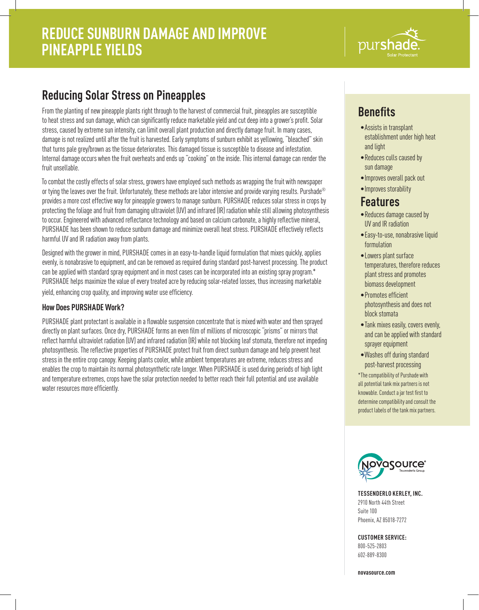# **DIJTS**

## **Reducing Solar Stress on Pineapples**

From the planting of new pineapple plants right through to the harvest of commercial fruit, pineapples are susceptible to heat stress and sun damage, which can significantly reduce marketable yield and cut deep into a grower's profit. Solar stress, caused by extreme sun intensity, can limit overall plant production and directly damage fruit. In many cases, damage is not realized until after the fruit is harvested. Early symptoms of sunburn exhibit as yellowing, "bleached" skin that turns pale grey/brown as the tissue deteriorates. This damaged tissue is susceptible to disease and infestation. Internal damage occurs when the fruit overheats and ends up "cooking" on the inside. This internal damage can render the fruit unsellable.

To combat the costly effects of solar stress, growers have employed such methods as wrapping the fruit with newspaper or tying the leaves over the fruit. Unfortunately, these methods are labor intensive and provide varying results. Purshade® provides a more cost effective way for pineapple growers to manage sunburn. PURSHADE reduces solar stress in crops by protecting the foliage and fruit from damaging ultraviolet (UV) and infrared (IR) radiation while still allowing photosynthesis to occur. Engineered with advanced reflectance technology and based on calcium carbonate, a highly reflective mineral, PURSHADE has been shown to reduce sunburn damage and minimize overall heat stress. PURSHADE effectively reflects harmful UV and IR radiation away from plants.

Designed with the grower in mind, PURSHADE comes in an easy-to-handle liquid formulation that mixes quickly, applies evenly, is nonabrasive to equipment, and can be removed as required during standard post-harvest processing. The product can be applied with standard spray equipment and in most cases can be incorporated into an existing spray program.\* PURSHADE helps maximize the value of every treated acre by reducing solar-related losses, thus increasing marketable yield, enhancing crop quality, and improving water use efficiency.

#### **How Does PURSHADE Work?**

PURSHADE plant protectant is available in a flowable suspension concentrate that is mixed with water and then sprayed directly on plant surfaces. Once dry, PURSHADE forms an even film of millions of microscopic "prisms" or mirrors that reflect harmful ultraviolet radiation (UV) and infrared radiation (IR) while not blocking leaf stomata, therefore not impeding photosynthesis. The reflective properties of PURSHADE protect fruit from direct sunburn damage and help prevent heat stress in the entire crop canopy. Keeping plants cooler, while ambient temperatures are extreme, reduces stress and enables the crop to maintain its normal photosynthetic rate longer. When PURSHADE is used during periods of high light and temperature extremes, crops have the solar protection needed to better reach their full potential and use available water resources more efficiently.

# **Benefits**

- •Assists in transplant establishment under high heat and light
- •Reduces culls caused by sun damage
- •Improves overall pack out
- •Improves storability

### **Features**

- •Reduces damage caused by UV and IR radiation
- •Easy-to-use, nonabrasive liquid formulation
- •Lowers plant surface temperatures, therefore reduces plant stress and promotes biomass development
- •Promotes efficient photosynthesis and does not block stomata
- •Tank mixes easily, covers evenly, and can be applied with standard sprayer equipment
- •Washes off during standard post-harvest processing

\*The compatibility of Purshade with all potential tank mix partners is not knowable. Conduct a jar test first to determine compatibility and consult the product labels of the tank mix partners.



**TESSENDERLO KERLEY, INC.** 2910 North 44th Street Suite 100 Phoenix, AZ 85018-7272

**CUSTOMER SERVICE:**

800-525-2803 602-889-8300

**novasource.com**